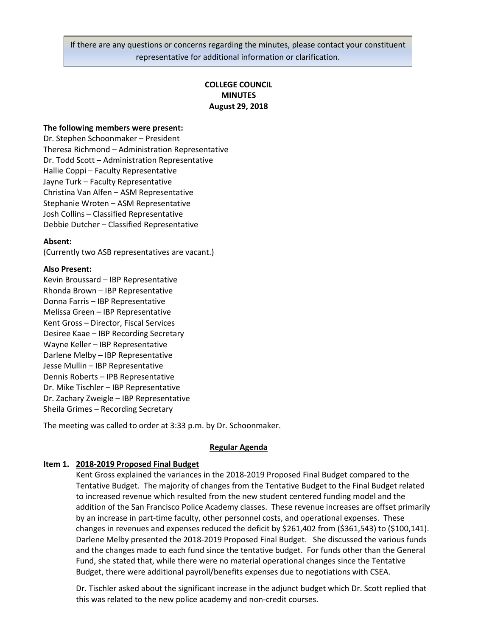If there are any questions or concerns regarding the minutes, please contact your constituent representative for additional information or clarification.

# **COLLEGE COUNCIL MINUTES August 29, 2018**

### **The following members were present:**

Dr. Stephen Schoonmaker – President Theresa Richmond – Administration Representative Dr. Todd Scott – Administration Representative Hallie Coppi – Faculty Representative Jayne Turk – Faculty Representative Christina Van Alfen – ASM Representative Stephanie Wroten – ASM Representative Josh Collins – Classified Representative Debbie Dutcher – Classified Representative

#### **Absent:**

(Currently two ASB representatives are vacant.)

#### **Also Present:**

Kevin Broussard – IBP Representative Rhonda Brown – IBP Representative Donna Farris – IBP Representative Melissa Green – IBP Representative Kent Gross – Director, Fiscal Services Desiree Kaae – IBP Recording Secretary Wayne Keller – IBP Representative Darlene Melby – IBP Representative Jesse Mullin – IBP Representative Dennis Roberts – IPB Representative Dr. Mike Tischler – IBP Representative Dr. Zachary Zweigle – IBP Representative Sheila Grimes – Recording Secretary

The meeting was called to order at 3:33 p.m. by Dr. Schoonmaker.

## **Regular Agenda**

## **Item 1. 2018-2019 Proposed Final Budget**

Kent Gross explained the variances in the 2018-2019 Proposed Final Budget compared to the Tentative Budget. The majority of changes from the Tentative Budget to the Final Budget related to increased revenue which resulted from the new student centered funding model and the addition of the San Francisco Police Academy classes. These revenue increases are offset primarily by an increase in part-time faculty, other personnel costs, and operational expenses. These changes in revenues and expenses reduced the deficit by \$261,402 from (\$361,543) to (\$100,141). Darlene Melby presented the 2018-2019 Proposed Final Budget. She discussed the various funds and the changes made to each fund since the tentative budget. For funds other than the General Fund, she stated that, while there were no material operational changes since the Tentative Budget, there were additional payroll/benefits expenses due to negotiations with CSEA.

Dr. Tischler asked about the significant increase in the adjunct budget which Dr. Scott replied that this was related to the new police academy and non-credit courses.